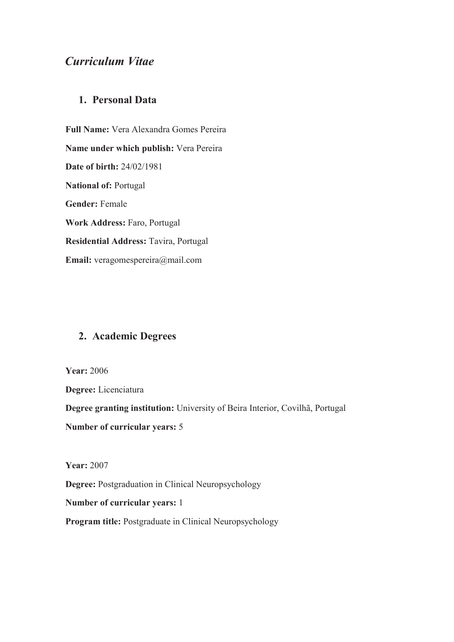# *Curriculum Vitae*

## **1. Personal Data**

**Full Name:** Vera Alexandra Gomes Pereira **Name under which publish:** Vera Pereira **Date of birth:** 24/02/1981 **National of:** Portugal **Gender:** Female **Work Address:** Faro, Portugal **Residential Address:** Tavira, Portugal **Email:** veragomespereira@mail.com

## **2. Academic Degrees**

**Year:** 2006

**Degree:** Licenciatura **Degree granting institution:** University of Beira Interior, Covilhã, Portugal **Number of curricular years:** 5

**Year:** 2007

**Degree:** Postgraduation in Clinical Neuropsychology

**Number of curricular years:** 1

**Program title:** Postgraduate in Clinical Neuropsychology